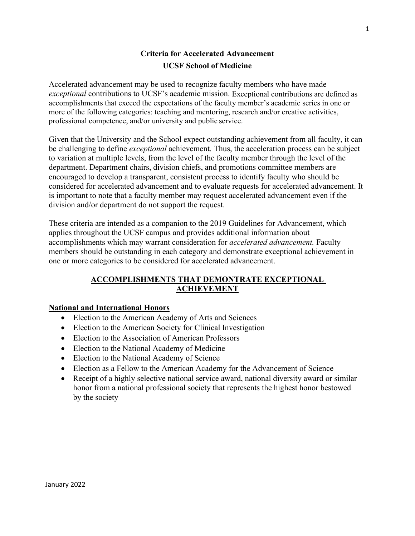# **Criteria for Accelerated Advancement UCSF School of Medicine**

Accelerated advancement may be used to recognize faculty members who have made *exceptional* contributions to UCSF's academic mission. Exceptional contributions are defined as accomplishments that exceed the expectations of the faculty member's academic series in one or more of the following categories: teaching and mentoring, research and/or creative activities, professional competence, and/or university and public service.

Given that the University and the School expect outstanding achievement from all faculty, it can be challenging to define *exceptional* achievement. Thus, the acceleration process can be subject to variation at multiple levels, from the level of the faculty member through the level of the department. Department chairs, division chiefs, and promotions committee members are encouraged to develop a transparent, consistent process to identify faculty who should be considered for accelerated advancement and to evaluate requests for accelerated advancement. It is important to note that a faculty member may request accelerated advancement even if the division and/or department do not support the request.

These criteria are intended as a companion to the 2019 Guidelines for Advancement, which applies throughout the UCSF campus and provides additional information about accomplishments which may warrant consideration for *accelerated advancement.* Faculty members should be outstanding in each category and demonstrate exceptional achievement in one or more categories to be considered for accelerated advancement.

# **ACCOMPLISHMENTS THAT DEMONTRATE EXCEPTIONAL ACHIEVEMENT**

#### **National and International Honors**

- Election to the American Academy of Arts and Sciences
- Election to the American Society for Clinical Investigation
- Election to the Association of American Professors
- Election to the National Academy of Medicine
- Election to the National Academy of Science
- Election as a Fellow to the American Academy for the Advancement of Science
- Receipt of a highly selective national service award, national diversity award or similar honor from a national professional society that represents the highest honor bestowed by the society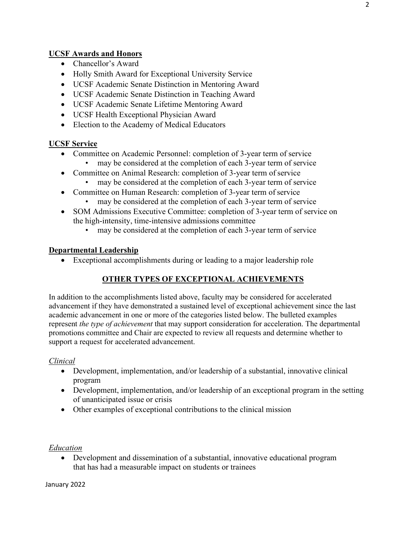# **UCSF Awards and Honors**

- Chancellor's Award
- Holly Smith Award for Exceptional University Service
- UCSF Academic Senate Distinction in Mentoring Award
- UCSF Academic Senate Distinction in Teaching Award
- UCSF Academic Senate Lifetime Mentoring Award
- UCSF Health Exceptional Physician Award
- Election to the Academy of Medical Educators

#### **UCSF Service**

- Committee on Academic Personnel: completion of 3-year term of service
	- may be considered at the completion of each 3-year term of service
- Committee on Animal Research: completion of 3-year term of service
	- may be considered at the completion of each 3-year term of service
- Committee on Human Research: completion of 3-year term of service
	- may be considered at the completion of each 3-year term of service
- SOM Admissions Executive Committee: completion of 3-year term of service on the high-intensity, time-intensive admissions committee
	- may be considered at the completion of each 3-year term of service

#### **Departmental Leadership**

• Exceptional accomplishments during or leading to a major leadership role

# **OTHER TYPES OF EXCEPTIONAL ACHIEVEMENTS**

In addition to the accomplishments listed above, faculty may be considered for accelerated advancement if they have demonstrated a sustained level of exceptional achievement since the last academic advancement in one or more of the categories listed below. The bulleted examples represent *the type of achievement* that may support consideration for acceleration. The departmental promotions committee and Chair are expected to review all requests and determine whether to support a request for accelerated advancement.

#### *Clinical*

- Development, implementation, and/or leadership of a substantial, innovative clinical program
- Development, implementation, and/or leadership of an exceptional program in the setting of unanticipated issue or crisis
- Other examples of exceptional contributions to the clinical mission

#### *Education*

• Development and dissemination of a substantial, innovative educational program that has had a measurable impact on students or trainees

January 2022